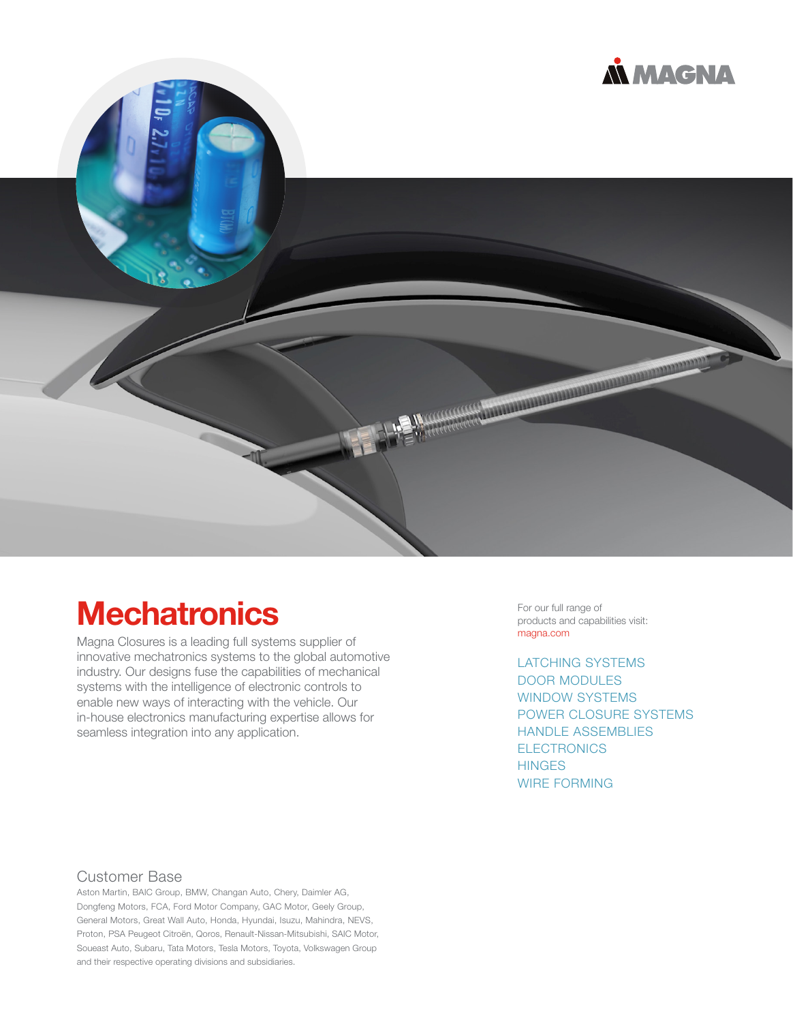



# **Mechatronics**

Magna Closures is a leading full systems supplier of innovative mechatronics systems to the global automotive industry. Our designs fuse the capabilities of mechanical systems with the intelligence of electronic controls to enable new ways of interacting with the vehicle. Our in-house electronics manufacturing expertise allows for seamless integration into any application.

For our full range of<br>products and capabilities visit:

LATCHING SYSTEMS DOOR MODULES WINDOW SYSTEMS POWER CLOSURE SYSTEMS HANDLE ASSEMBLIES **ELECTRONICS HINGES** WIRE FORMING

#### Customer Base

Aston Martin, BAIC Group, BMW, Changan Auto, Chery, Daimler AG, Dongfeng Motors, FCA, Ford Motor Company, GAC Motor, Geely Group, General Motors, Great Wall Auto, Honda, Hyundai, Isuzu, Mahindra, NEVS, Proton, PSA Peugeot Citroën, Qoros, Renault-Nissan-Mitsubishi, SAIC Motor, Soueast Auto, Subaru, Tata Motors, Tesla Motors, Toyota, Volkswagen Group and their respective operating divisions and subsidiaries.